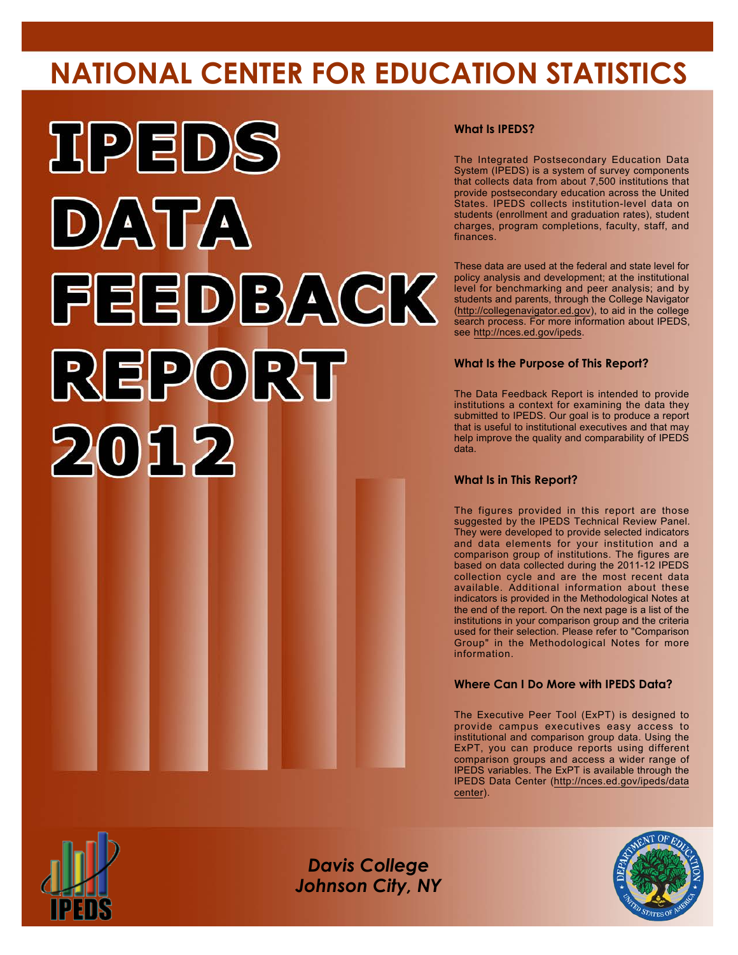# **NATIONAL CENTER FOR EDUCATION STATISTICS**



# **What Is IPEDS?**

The Integrated Postsecondary Education Data System (IPEDS) is a system of survey components that collects data from about 7,500 institutions that provide postsecondary education across the United States. IPEDS collects institution-level data on students (enrollment and graduation rates), student charges, program completions, faculty, staff, and finances.

These data are used at the federal and state level for policy analysis and development; at the institutional level for benchmarking and peer analysis; and by students and parents, through the College Navigator (<http://collegenavigator.ed.gov>), to aid in the college search process. For more information about IPEDS, see [http://nces.ed.gov/ipeds.](http://nces.ed.gov/ipeds)

# **What Is the Purpose of This Report?**

The Data Feedback Report is intended to provide institutions a context for examining the data they submitted to IPEDS. Our goal is to produce a report that is useful to institutional executives and that may help improve the quality and comparability of IPEDS data.

### **What Is in This Report?**

The figures provided in this report are those suggested by the IPEDS Technical Review Panel. They were developed to provide selected indicators and data elements for your institution and a comparison group of institutions. The figures are based on data collected during the 2011-12 IPEDS collection cycle and are the most recent data available. Additional information about these indicators is provided in the Methodological Notes at the end of the report. On the next page is a list of the institutions in your comparison group and the criteria used for their selection. Please refer to "Comparison Group" in the Methodological Notes for more information.

# **Where Can I Do More with IPEDS Data?**

The Executive Peer Tool (ExPT) is designed to provide campus executives easy access to institutional and comparison group data. Using the ExPT, you can produce reports using different comparison groups and access a wider range of IPEDS variables. The ExPT is available through the IPEDS Data Center ([http://nces.ed.gov/ipeds/data](http://nces.ed.gov/ipeds/datacenter) [center](http://nces.ed.gov/ipeds/datacenter)).



Image description. Cover Image End of image description.

*Davis College Johnson City, NY*

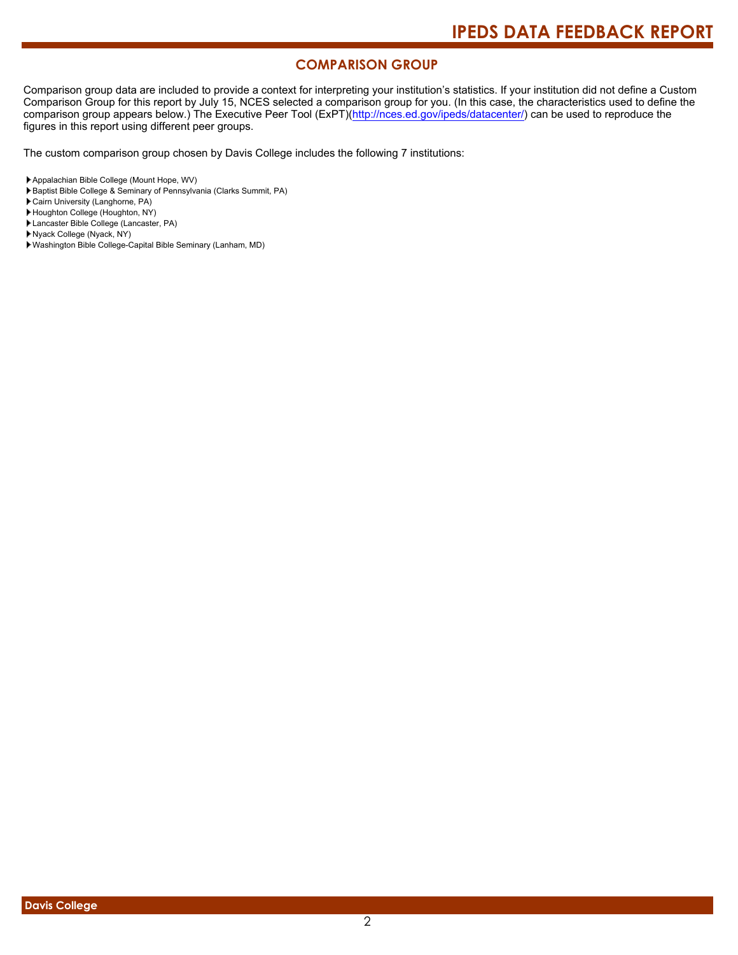# **COMPARISON GROUP**

Comparison group data are included to provide a context for interpreting your institution's statistics. If your institution did not define a Custom Comparison Group for this report by July 15, NCES selected a comparison group for you. (In this case, the characteristics used to define the comparison group appears below.) The Executive Peer Tool (ExPT)[\(http://nces.ed.gov/ipeds/datacenter/\)](http://nces.ed.gov/ipeds/datacenter/) can be used to reproduce the figures in this report using different peer groups.

The custom comparison group chosen by Davis College includes the following 7 institutions:

Baptist Bible College & Seminary of Pennsylvania (Clarks Summit, PA)

Cairn University (Langhorne, PA)

- Houghton College (Houghton, NY)
- Lancaster Bible College (Lancaster, PA)
- Nyack College (Nyack, NY)
- Washington Bible College-Capital Bible Seminary (Lanham, MD)

Appalachian Bible College (Mount Hope, WV)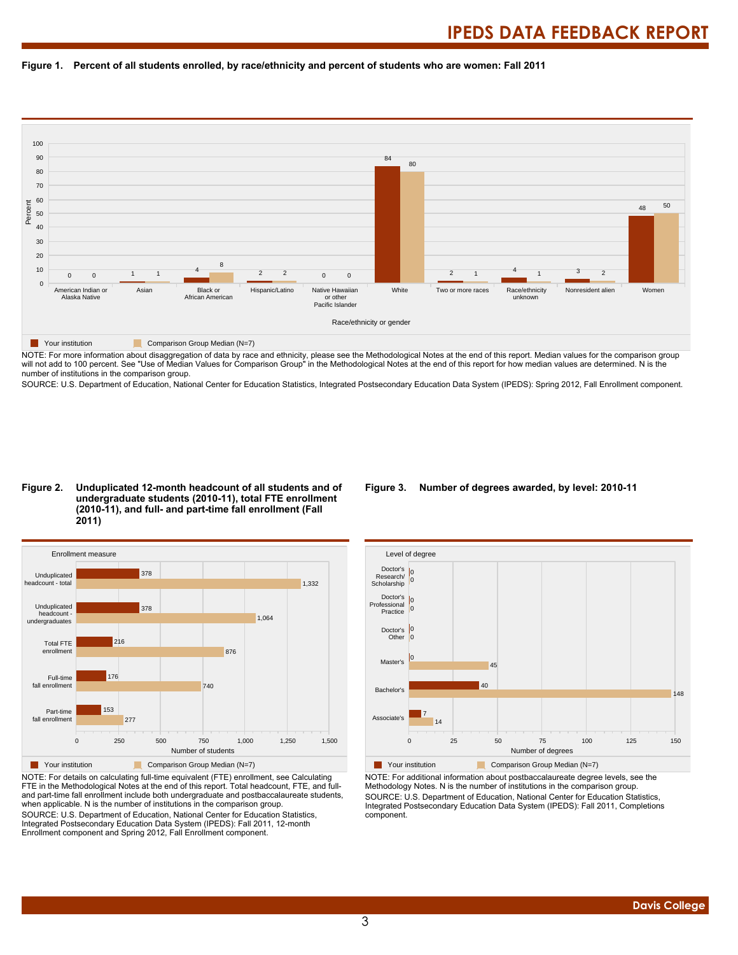



NOTE: For more information about disaggregation of data by race and ethnicity, please see the Methodological Notes at the end of this report. Median values for the comparison group will not add to 100 percent. See "Use of Median Values for Comparison Group" in the Methodological Notes at the end of this report for how median values are determined. N is the number of institutions in the comparison group.

SOURCE: U.S. Department of Education, National Center for Education Statistics, Integrated Postsecondary Education Data System (IPEDS): Spring 2012, Fall Enrollment component.

#### **Figure 2. Unduplicated 12-month headcount of all students and of undergraduate students (2010-11), total FTE enrollment (2010-11), and full- and part-time fall enrollment (Fall 2011)**



NOTE: For details on calculating full-time equivalent (FTE) enrollment, see Calculating FTE in the Methodological Notes at the end of this report. Total headcount, FTE, and fulland part-time fall enrollment include both undergraduate and postbaccalaureate students, when applicable. N is the number of institutions in the comparison group. SOURCE: U.S. Department of Education, National Center for Education Statistics, Integrated Postsecondary Education Data System (IPEDS): Fall 2011, 12-month Enrollment component and Spring 2012, Fall Enrollment component.

#### **Figure 3. Number of degrees awarded, by level: 2010-11**



NOTE: For additional information about postbaccalaureate degree levels, see the Methodology Notes. N is the number of institutions in the comparison group. SOURCE: U.S. Department of Education, National Center for Education Statistics, Integrated Postsecondary Education Data System (IPEDS): Fall 2011, Completions component.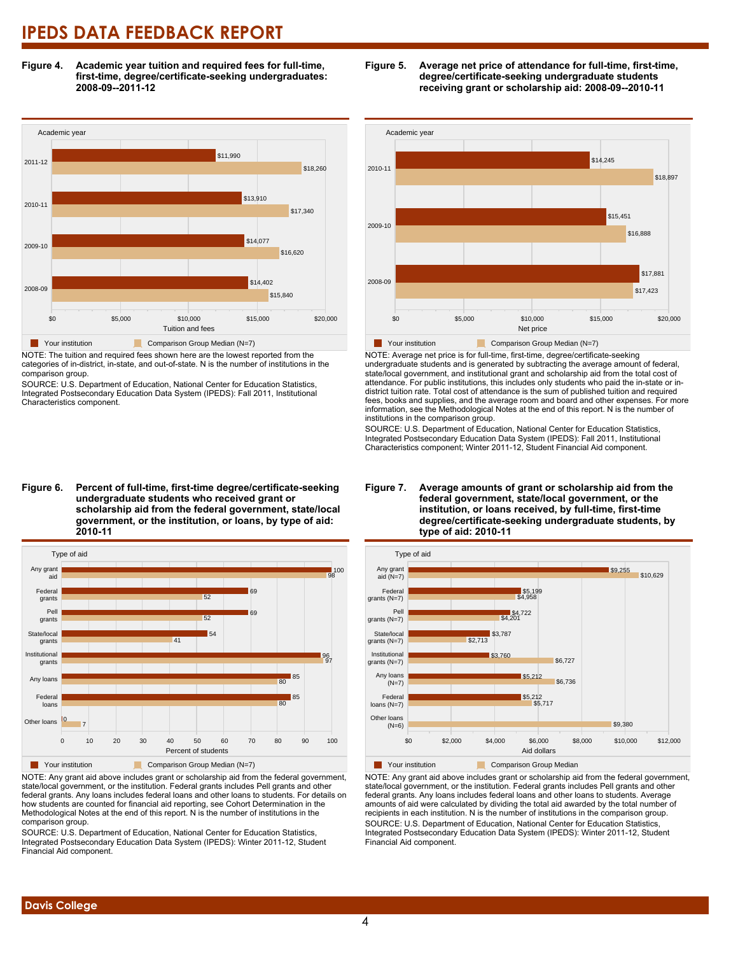**Figure 4. Academic year tuition and required fees for full-time, first-time, degree/certificate-seeking undergraduates: 2008-09--2011-12**



NOTE: The tuition and required fees shown here are the lowest reported from the categories of in-district, in-state, and out-of-state. N is the number of institutions in the comparison group.

SOURCE: U.S. Department of Education, National Center for Education Statistics, Integrated Postsecondary Education Data System (IPEDS): Fall 2011, Institutional Characteristics component.

**Figure 6. Percent of full-time, first-time degree/certificate-seeking undergraduate students who received grant or scholarship aid from the federal government, state/local government, or the institution, or loans, by type of aid: 2010-11**



NOTE: Any grant aid above includes grant or scholarship aid from the federal government, state/local government, or the institution. Federal grants includes Pell grants and other federal grants. Any loans includes federal loans and other loans to students. For details on how students are counted for financial aid reporting, see Cohort Determination in the Methodological Notes at the end of this report. N is the number of institutions in the comparison group.

SOURCE: U.S. Department of Education, National Center for Education Statistics, Integrated Postsecondary Education Data System (IPEDS): Winter 2011-12, Student Financial Aid component.





NOTE: Average net price is for full-time, first-time, degree/certificate-seeking undergraduate students and is generated by subtracting the average amount of federal, state/local government, and institutional grant and scholarship aid from the total cost of attendance. For public institutions, this includes only students who paid the in-state or indistrict tuition rate. Total cost of attendance is the sum of published tuition and required fees, books and supplies, and the average room and board and other expenses. For more information, see the Methodological Notes at the end of this report. N is the number of institutions in the comparison group.

SOURCE: U.S. Department of Education, National Center for Education Statistics, Integrated Postsecondary Education Data System (IPEDS): Fall 2011, Institutional Characteristics component; Winter 2011-12, Student Financial Aid component.



# **Figure 7. Average amounts of grant or scholarship aid from the federal government, state/local government, or the institution, or loans received, by full-time, first-time degree/certificate-seeking undergraduate students, by**

NOTE: Any grant aid above includes grant or scholarship aid from the federal government, state/local government, or the institution. Federal grants includes Pell grants and other federal grants. Any loans includes federal loans and other loans to students. Average amounts of aid were calculated by dividing the total aid awarded by the total number of recipients in each institution. N is the number of institutions in the comparison group. SOURCE: U.S. Department of Education, National Center for Education Statistics, Integrated Postsecondary Education Data System (IPEDS): Winter 2011-12, Student Financial Aid component.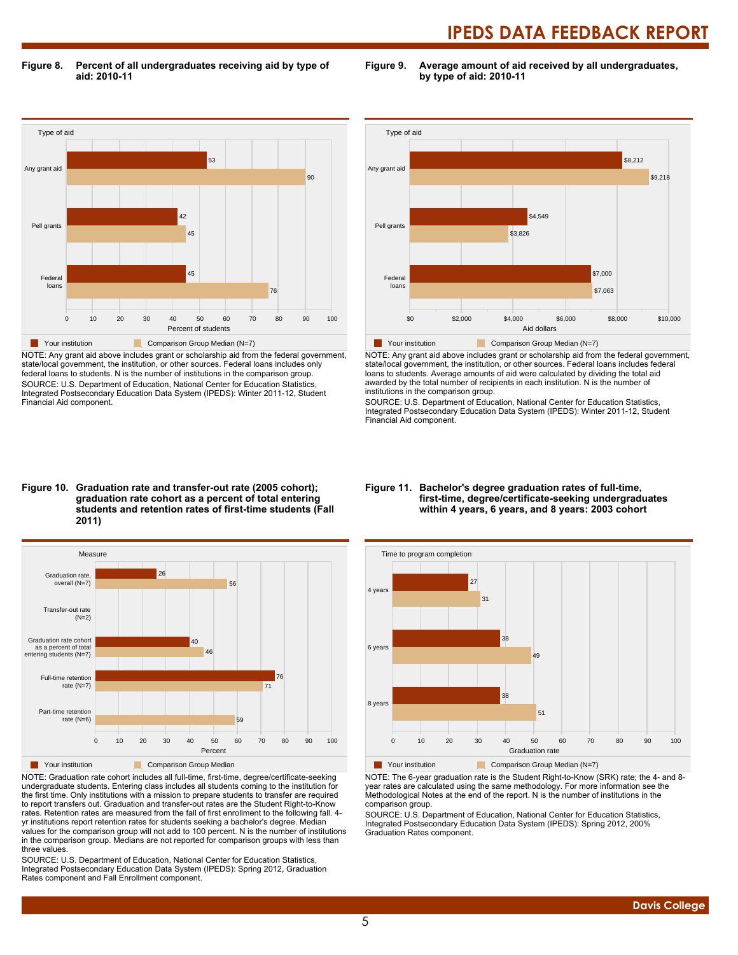**Figure 8. Percent of all undergraduates receiving aid by type of aid: 2010-11**

**Figure 9. Average amount of aid received by all undergraduates, by type of aid: 2010-11**



NOTE: Any grant aid above includes grant or scholarship aid from the federal government, state/local government, the institution, or other sources. Federal loans includes only federal loans to students. N is the number of institutions in the comparison group. SOURCE: U.S. Department of Education, National Center for Education Statistics, Integrated Postsecondary Education Data System (IPEDS): Winter 2011-12, Student Financial Aid component.



NOTE: Any grant aid above includes grant or scholarship aid from the federal government, state/local government, the institution, or other sources. Federal loans includes federal loans to students. Average amounts of aid were calculated by dividing the total aid awarded by the total number of recipients in each institution. N is the number of institutions in the comparison group.

SOURCE: U.S. Department of Education, National Center for Education Statistics, Integrated Postsecondary Education Data System (IPEDS): Winter 2011-12, Student Financial Aid component.

#### **Figure 10. Graduation rate and transfer-out rate (2005 cohort); graduation rate cohort as a percent of total entering students and retention rates of first-time students (Fall 2011)**



NOTE: Graduation rate cohort includes all full-time, first-time, degree/certificate-seeking undergraduate students. Entering class includes all students coming to the institution for the first time. Only institutions with a mission to prepare students to transfer are required to report transfers out. Graduation and transfer-out rates are the Student Right-to-Know rates. Retention rates are measured from the fall of first enrollment to the following fall. 4 yr institutions report retention rates for students seeking a bachelor's degree. Median values for the comparison group will not add to 100 percent. N is the number of institutions in the comparison group. Medians are not reported for comparison groups with less than three values.

SOURCE: U.S. Department of Education, National Center for Education Statistics, Integrated Postsecondary Education Data System (IPEDS): Spring 2012, Graduation Rates component and Fall Enrollment component.

#### **Figure 11. Bachelor's degree graduation rates of full-time, first-time, degree/certificate-seeking undergraduates within 4 years, 6 years, and 8 years: 2003 cohort**



NOTE: The 6-year graduation rate is the Student Right-to-Know (SRK) rate; the 4- and 8 year rates are calculated using the same methodology. For more information see the Methodological Notes at the end of the report. N is the number of institutions in the comparison group.

SOURCE: U.S. Department of Education, National Center for Education Statistics, Integrated Postsecondary Education Data System (IPEDS): Spring 2012, 200% Graduation Rates component.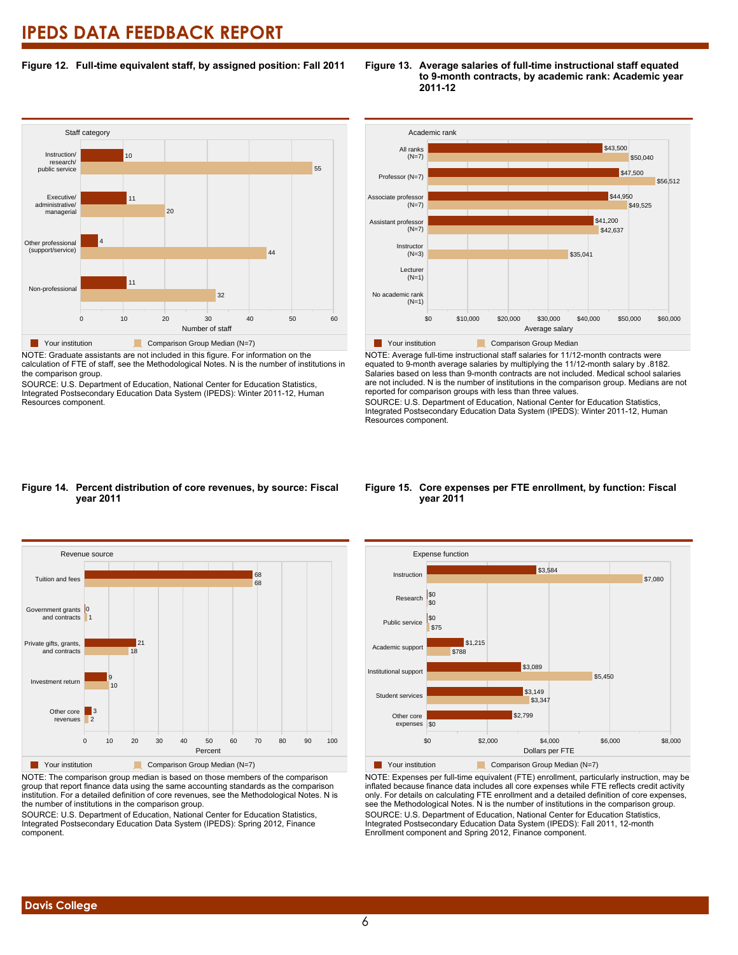### **Figure 12. Full-time equivalent staff, by assigned position: Fall 2011**

#### **Staff category** 0 10 20 30 40 50 60 Number of staff Non-professional Other professional (support/service) Executive/ administrative/ managerial Instruction/ research/ public service 32 11 44 4  $20$ 11 55 10 Your institution **Comparison Group Median (N=7)**

NOTE: Graduate assistants are not included in this figure. For information on the calculation of FTE of staff, see the Methodological Notes. N is the number of institutions in the comparison group.

SOURCE: U.S. Department of Education, National Center for Education Statistics, Integrated Postsecondary Education Data System (IPEDS): Winter 2011-12, Human Resources component.



**Figure 13. Average salaries of full-time instructional staff equated**

**2011-12**

**to 9-month contracts, by academic rank: Academic year**

NOTE: Average full-time instructional staff salaries for 11/12-month contracts were equated to 9-month average salaries by multiplying the 11/12-month salary by .8182. Salaries based on less than 9-month contracts are not included. Medical school salaries are not included. N is the number of institutions in the comparison group. Medians are not reported for comparison groups with less than three values.

SOURCE: U.S. Department of Education, National Center for Education Statistics, Integrated Postsecondary Education Data System (IPEDS): Winter 2011-12, Human Resources component.

### **Figure 14. Percent distribution of core revenues, by source: Fiscal year 2011**



NOTE: The comparison group median is based on those members of the comparison group that report finance data using the same accounting standards as the comparison institution. For a detailed definition of core revenues, see the Methodological Notes. N is the number of institutions in the comparison group.

SOURCE: U.S. Department of Education, National Center for Education Statistics, Integrated Postsecondary Education Data System (IPEDS): Spring 2012, Finance component.

#### **Figure 15. Core expenses per FTE enrollment, by function: Fiscal year 2011**



NOTE: Expenses per full-time equivalent (FTE) enrollment, particularly instruction, may be inflated because finance data includes all core expenses while FTE reflects credit activity only. For details on calculating FTE enrollment and a detailed definition of core expenses, see the Methodological Notes. N is the number of institutions in the comparison group. SOURCE: U.S. Department of Education, National Center for Education Statistics, Integrated Postsecondary Education Data System (IPEDS): Fall 2011, 12-month Enrollment component and Spring 2012, Finance component.

# **Davis College**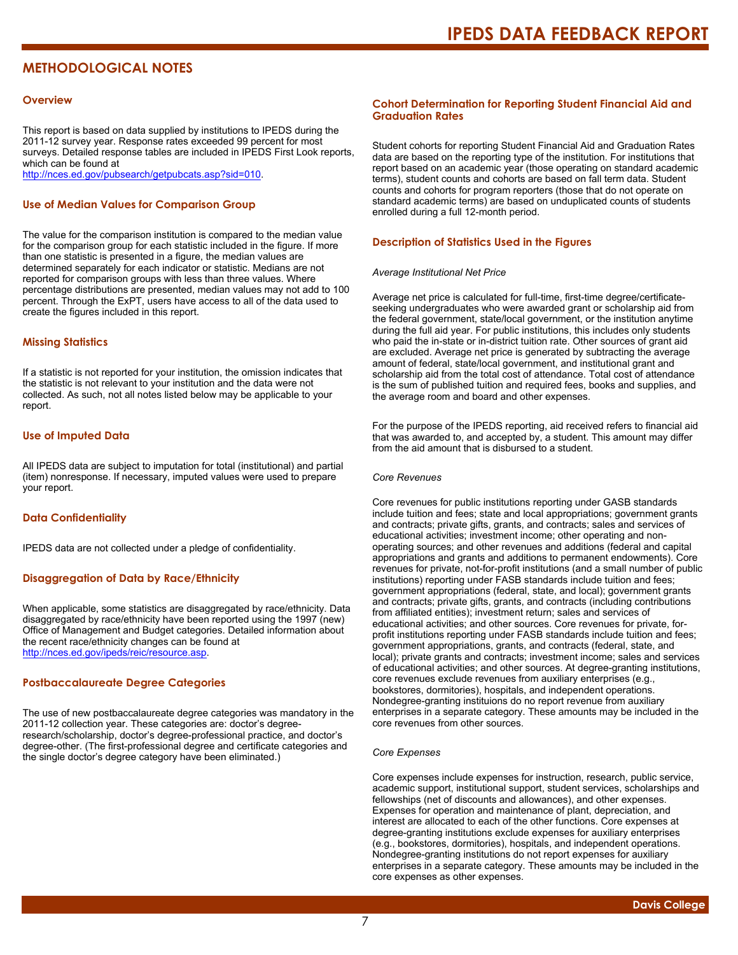# **METHODOLOGICAL NOTES**

#### **Overview**

This report is based on data supplied by institutions to IPEDS during the 2011-12 survey year. Response rates exceeded 99 percent for most surveys. Detailed response tables are included in IPEDS First Look reports, which can be found at [http://nces.ed.gov/pubsearch/getpubcats.asp?sid=010.](http://nces.ed.gov/pubsearch/getpubcats.asp?sid=010)

#### **Use of Median Values for Comparison Group**

The value for the comparison institution is compared to the median value for the comparison group for each statistic included in the figure. If more than one statistic is presented in a figure, the median values are determined separately for each indicator or statistic. Medians are not reported for comparison groups with less than three values. Where percentage distributions are presented, median values may not add to 100 percent. Through the ExPT, users have access to all of the data used to create the figures included in this report.

#### **Missing Statistics**

If a statistic is not reported for your institution, the omission indicates that the statistic is not relevant to your institution and the data were not collected. As such, not all notes listed below may be applicable to your report.

#### **Use of Imputed Data**

All IPEDS data are subject to imputation for total (institutional) and partial (item) nonresponse. If necessary, imputed values were used to prepare your report.

#### **Data Confidentiality**

IPEDS data are not collected under a pledge of confidentiality.

#### **Disaggregation of Data by Race/Ethnicity**

When applicable, some statistics are disaggregated by race/ethnicity. Data disaggregated by race/ethnicity have been reported using the 1997 (new) Office of Management and Budget categories. Detailed information about the recent race/ethnicity changes can be found at <http://nces.ed.gov/ipeds/reic/resource.asp>.

#### **Postbaccalaureate Degree Categories**

The use of new postbaccalaureate degree categories was mandatory in the 2011-12 collection year. These categories are: doctor's degreeresearch/scholarship, doctor's degree-professional practice, and doctor's degree-other. (The first-professional degree and certificate categories and the single doctor's degree category have been eliminated.)

#### **Cohort Determination for Reporting Student Financial Aid and Graduation Rates**

Student cohorts for reporting Student Financial Aid and Graduation Rates data are based on the reporting type of the institution. For institutions that report based on an academic year (those operating on standard academic terms), student counts and cohorts are based on fall term data. Student counts and cohorts for program reporters (those that do not operate on standard academic terms) are based on unduplicated counts of students enrolled during a full 12-month period.

#### **Description of Statistics Used in the Figures**

#### *Average Institutional Net Price*

Average net price is calculated for full-time, first-time degree/certificateseeking undergraduates who were awarded grant or scholarship aid from the federal government, state/local government, or the institution anytime during the full aid year. For public institutions, this includes only students who paid the in-state or in-district tuition rate. Other sources of grant aid are excluded. Average net price is generated by subtracting the average amount of federal, state/local government, and institutional grant and scholarship aid from the total cost of attendance. Total cost of attendance is the sum of published tuition and required fees, books and supplies, and the average room and board and other expenses.

For the purpose of the IPEDS reporting, aid received refers to financial aid that was awarded to, and accepted by, a student. This amount may differ from the aid amount that is disbursed to a student.

#### *Core Revenues*

Core revenues for public institutions reporting under GASB standards include tuition and fees; state and local appropriations; government grants and contracts; private gifts, grants, and contracts; sales and services of educational activities; investment income; other operating and nonoperating sources; and other revenues and additions (federal and capital appropriations and grants and additions to permanent endowments). Core revenues for private, not-for-profit institutions (and a small number of public institutions) reporting under FASB standards include tuition and fees; government appropriations (federal, state, and local); government grants and contracts; private gifts, grants, and contracts (including contributions from affiliated entities); investment return; sales and services of educational activities; and other sources. Core revenues for private, forprofit institutions reporting under FASB standards include tuition and fees; government appropriations, grants, and contracts (federal, state, and local); private grants and contracts; investment income; sales and services of educational activities; and other sources. At degree-granting institutions, core revenues exclude revenues from auxiliary enterprises (e.g., bookstores, dormitories), hospitals, and independent operations. Nondegree-granting instituions do no report revenue from auxiliary enterprises in a separate category. These amounts may be included in the core revenues from other sources.

#### *Core Expenses*

Core expenses include expenses for instruction, research, public service, academic support, institutional support, student services, scholarships and fellowships (net of discounts and allowances), and other expenses. Expenses for operation and maintenance of plant, depreciation, and interest are allocated to each of the other functions. Core expenses at degree-granting institutions exclude expenses for auxiliary enterprises (e.g., bookstores, dormitories), hospitals, and independent operations. Nondegree-granting institutions do not report expenses for auxiliary enterprises in a separate category. These amounts may be included in the core expenses as other expenses.